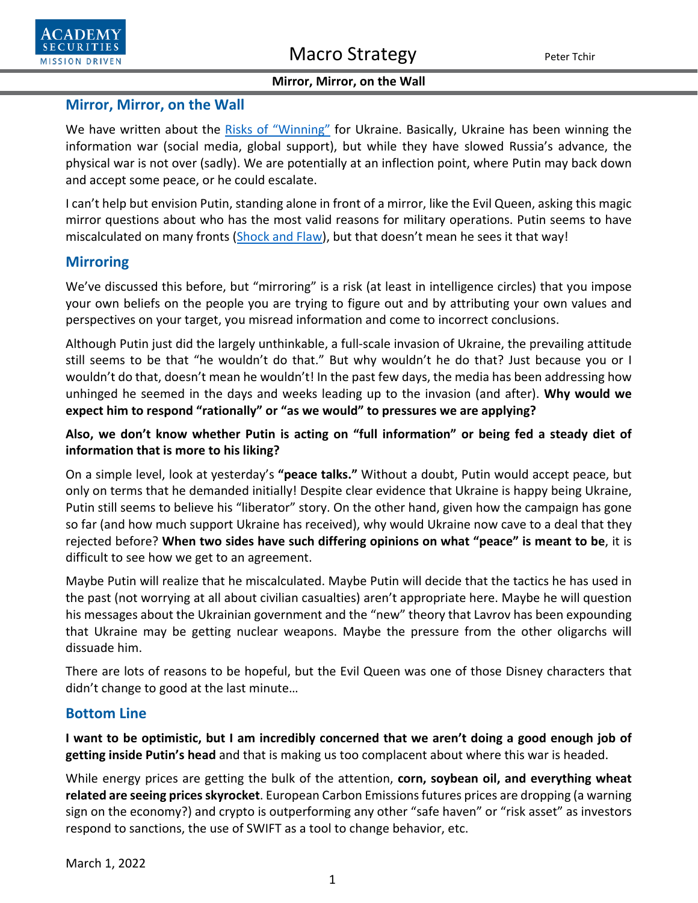#### **Mirror, Mirror, on the Wall**

### **Mirror, Mirror, on the Wall**

We have written about the [Risks of "Winning"](https://www.academysecurities.com/wordpress/wp-content/uploads/2022/02/Blue-Skies-over-Golden-Fields-of-Grain.pdf) for Ukraine. Basically, Ukraine has been winning the information war (social media, global support), but while they have slowed Russia's advance, the physical war is not over (sadly). We are potentially at an inflection point, where Putin may back down and accept some peace, or he could escalate.

I can't help but envision Putin, standing alone in front of a mirror, like the Evil Queen, asking this magic mirror questions about who has the most valid reasons for military operations. Putin seems to have miscalculated on many fronts [\(Shock and Flaw\)](https://www.academysecurities.com/wordpress/wp-content/uploads/2022/02/Shock-and-Flaw.pdf), but that doesn't mean he sees it that way!

# **Mirroring**

We've discussed this before, but "mirroring" is a risk (at least in intelligence circles) that you impose your own beliefs on the people you are trying to figure out and by attributing your own values and perspectives on your target, you misread information and come to incorrect conclusions.

Although Putin just did the largely unthinkable, a full-scale invasion of Ukraine, the prevailing attitude still seems to be that "he wouldn't do that." But why wouldn't he do that? Just because you or I wouldn't do that, doesn't mean he wouldn't! In the past few days, the media has been addressing how unhinged he seemed in the days and weeks leading up to the invasion (and after). **Why would we expect him to respond "rationally" or "as we would" to pressures we are applying?** 

**Also, we don't know whether Putin is acting on "full information" or being fed a steady diet of information that is more to his liking?**

On a simple level, look at yesterday's **"peace talks."** Without a doubt, Putin would accept peace, but only on terms that he demanded initially! Despite clear evidence that Ukraine is happy being Ukraine, Putin still seems to believe his "liberator" story. On the other hand, given how the campaign has gone so far (and how much support Ukraine has received), why would Ukraine now cave to a deal that they rejected before? **When two sides have such differing opinions on what "peace" is meant to be**, it is difficult to see how we get to an agreement.

Maybe Putin will realize that he miscalculated. Maybe Putin will decide that the tactics he has used in the past (not worrying at all about civilian casualties) aren't appropriate here. Maybe he will question his messages about the Ukrainian government and the "new" theory that Lavrov has been expounding that Ukraine may be getting nuclear weapons. Maybe the pressure from the other oligarchs will dissuade him.

There are lots of reasons to be hopeful, but the Evil Queen was one of those Disney characters that didn't change to good at the last minute…

## **Bottom Line**

**I want to be optimistic, but I am incredibly concerned that we aren't doing a good enough job of getting inside Putin's head** and that is making us too complacent about where this war is headed.

While energy prices are getting the bulk of the attention, **corn, soybean oil, and everything wheat related are seeing prices skyrocket**. European Carbon Emissions futures prices are dropping (a warning sign on the economy?) and crypto is outperforming any other "safe haven" or "risk asset" as investors respond to sanctions, the use of SWIFT as a tool to change behavior, etc.